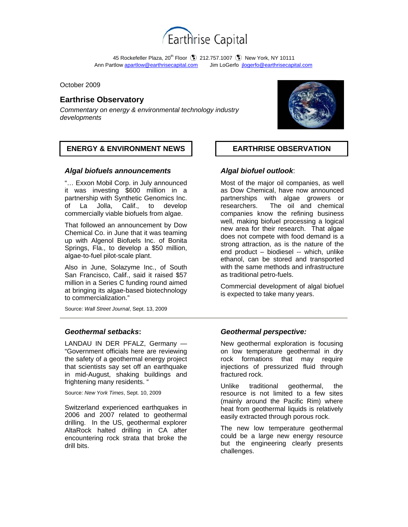

45 Rockefeller Plaza, 20<sup>th</sup> Floor  $\bullet$  212.757.1007  $\bullet$  New York, NY 10111 Ann Partlow apartlow@earthrisecapital.comJim LoGerfo jlogerfo@earthrisecapital.com

October 2009

# **Earthrise Observatory**

*Commentary on energy & environmental technology industry developments*



# *Algal biofuels announcements*

"… Exxon Mobil Corp. in July announced it was investing \$600 million in a partnership with Synthetic Genomics Inc. of La Jolla, Calif., to develop commercially viable biofuels from algae.

That followed an announcement by Dow Chemical Co. in June that it was teaming up with Algenol Biofuels Inc. of Bonita Springs, Fla., to develop a \$50 million, algae-to-fuel pilot-scale plant.

Also in June, Solazyme Inc., of South San Francisco, Calif., said it raised \$57 million in a Series C funding round aimed at bringing its algae-based biotechnology to commercialization."

Source: *Wall Street Journal*, Sept. 13, 2009

# *Geothermal setbacks***:**

LANDAU IN DER PFALZ, Germany — "Government officials here are reviewing the safety of a geothermal energy project that scientists say set off an earthquake in mid-August, shaking buildings and frightening many residents. "

Source: *New York Times*, Sept. 10, 2009

Switzerland experienced earthquakes in 2006 and 2007 related to geothermal drilling. In the US, geothermal explorer AltaRock halted drilling in CA after encountering rock strata that broke the drill bits.



# *Algal biofuel outlook*:

Most of the major oil companies, as well as Dow Chemical, have now announced partnerships with algae growers or researchers. The oil and chemical companies know the refining business well, making biofuel processing a logical new area for their research. That algae does not compete with food demand is a strong attraction, as is the nature of the end product – biodiesel -- which, unlike ethanol, can be stored and transported with the same methods and infrastructure as traditional petro-fuels.

Commercial development of algal biofuel is expected to take many years.

# *Geothermal perspective:*

New geothermal exploration is focusing on low temperature geothermal in dry rock formations that may require injections of pressurized fluid through fractured rock.

Unlike traditional geothermal, the resource is not limited to a few sites (mainly around the Pacific Rim) where heat from geothermal liquids is relatively easily extracted through porous rock.

The new low temperature geothermal could be a large new energy resource but the engineering clearly presents challenges.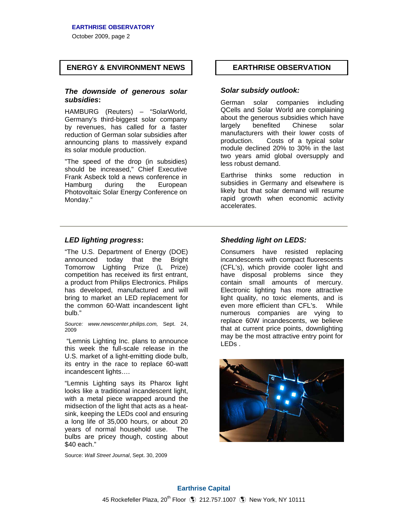### **EARTHRISE OBSERVATORY**

October 2009, page 2

# **ENERGY & ENVIRONMENT NEWS EARTHRISE OBSERVATION**

## *The downside of generous solar subsidies***:**

HAMBURG (Reuters) – "SolarWorld, Germany's third-biggest solar company by revenues, has called for a faster reduction of German solar subsidies after announcing plans to massively expand its solar module production.

"The speed of the drop (in subsidies) should be increased," Chief Executive Frank Asbeck told a news conference in Hamburg during the European Photovoltaic Solar Energy Conference on Monday."

## *Solar subsidy outlook:*

German solar companies including QCells and Solar World are complaining about the generous subsidies which have largely benefited Chinese solar manufacturers with their lower costs of production. Costs of a typical solar module declined 20% to 30% in the last two years amid global oversupply and less robust demand.

Earthrise thinks some reduction in subsidies in Germany and elsewhere is likely but that solar demand will resume rapid growth when economic activity accelerates.

# *LED lighting progress***:**

"The U.S. Department of Energy (DOE) announced today that the Bright Tomorrow Lighting Prize (L Prize) competition has received its first entrant, a product from Philips Electronics. Philips has developed, manufactured and will bring to market an LED replacement for the common 60-Watt incandescent light bulb."

*Source: www.newscenter.philips.com,* Sept. 24, 2009

"Lemnis Lighting Inc. plans to announce this week the full-scale release in the U.S. market of a light-emitting diode bulb, its entry in the race to replace 60-watt incandescent lights….

"Lemnis Lighting says its Pharox light looks like a traditional incandescent light, with a metal piece wrapped around the midsection of the light that acts as a heatsink, keeping the LEDs cool and ensuring a long life of 35,000 hours, or about 20 years of normal household use. The bulbs are pricey though, costing about \$40 each."

Source: *Wall Street Journal*, Sept. 30, 2009

# *Shedding light on LEDS:*

Consumers have resisted replacing incandescents with compact fluorescents (CFL's), which provide cooler light and have disposal problems since they contain small amounts of mercury. Electronic lighting has more attractive light quality, no toxic elements, and is even more efficient than CFL's. While numerous companies are vying to replace 60W incandescents, we believe that at current price points, downlighting may be the most attractive entry point for LEDs .

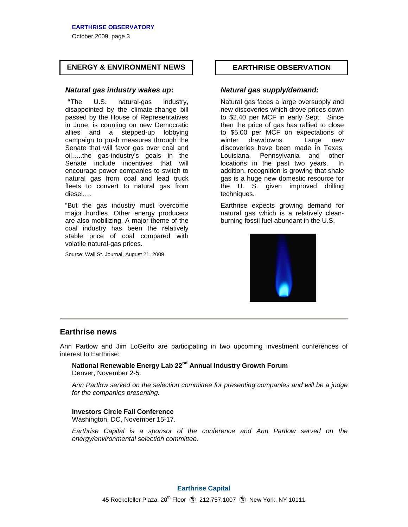## **EARTHRISE OBSERVATORY**

October 2009, page 3

# **ENERGY & ENVIRONMENT NEWS EARTHRISE OBSERVATION**

## *Natural gas industry wakes up***:**

**"**The U.S. natural-gas industry, disappointed by the climate-change bill passed by the House of Representatives in June, is counting on new Democratic allies and a stepped-up lobbying campaign to push measures through the Senate that will favor gas over coal and oil…..the gas-industry's goals in the Senate include incentives that will encourage power companies to switch to natural gas from coal and lead truck fleets to convert to natural gas from diesel….

"But the gas industry must overcome major hurdles. Other energy producers are also mobilizing. A major theme of the coal industry has been the relatively stable price of coal compared with volatile natural-gas prices.

Source: Wall St. Journal, August 21, 2009

# *Natural gas supply/demand:*

Natural gas faces a large oversupply and new discoveries which drove prices down to \$2.40 per MCF in early Sept. Since then the price of gas has rallied to close to \$5.00 per MCF on expectations of winter drawdowns. Large new discoveries have been made in Texas, Louisiana, Pennsylvania and other locations in the past two years. In addition, recognition is growing that shale gas is a huge new domestic resource for the U. S. given improved drilling techniques.

Earthrise expects growing demand for natural gas which is a relatively cleanburning fossil fuel abundant in the U.S.



# **Earthrise news**

Ann Partlow and Jim LoGerfo are participating in two upcoming investment conferences of interest to Earthrise:

### **National Renewable Energy Lab 22nd Annual Industry Growth Forum** Denver, November 2-5.

*Ann Partlow served on the selection committee for presenting companies and will be a judge for the companies presenting.* 

### **Investors Circle Fall Conference**

Washington, DC, November 15-17.

*Earthrise Capital is a sponsor of the conference and Ann Partlow served on the energy/environmental selection committee.*